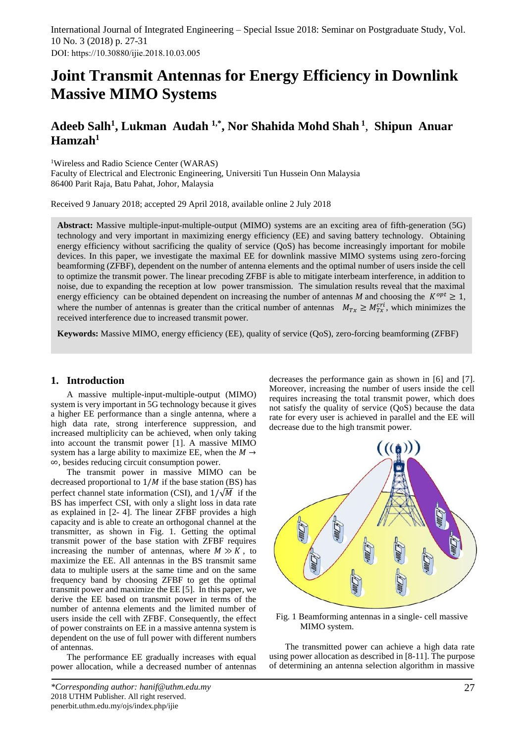# **Joint Transmit Antennas for Energy Efficiency in Downlink Massive MIMO Systems**

# **Adeeb Salh<sup>1</sup> , Lukman Audah 1,\* , Nor Shahida Mohd Shah <sup>1</sup>** , **Shipun Anuar Hamzah<sup>1</sup>**

<sup>1</sup>Wireless and Radio Science Center (WARAS)

Faculty of Electrical and Electronic Engineering, Universiti Tun Hussein Onn Malaysia 86400 Parit Raja, Batu Pahat, Johor, Malaysia

Received 9 January 2018; accepted 29 April 2018, available online 2 July 2018

**Abstract:** Massive multiple-input-multiple-output (MIMO) systems are an exciting area of fifth-generation (5G) technology and very important in maximizing energy efficiency (EE) and saving battery technology. Obtaining energy efficiency without sacrificing the quality of service (QoS) has become increasingly important for mobile devices. In this paper, we investigate the maximal EE for downlink massive MIMO systems using zero-forcing beamforming (ZFBF), dependent on the number of antenna elements and the optimal number of users inside the cell to optimize the transmit power. The linear precoding ZFBF is able to mitigate interbeam interference, in addition to noise, due to expanding the reception at low power transmission. The simulation results reveal that the maximal energy efficiency can be obtained dependent on increasing the number of antennas M and choosing the  $K^{opt} \geq 1$ , where the number of antennas is greater than the critical number of antennas  $M_{Tx} \ge M_{Tx}^{cri}$ , which minimizes the received interference due to increased transmit power.

**Keywords:** Massive MIMO, energy efficiency (EE), quality of service (QoS), zero-forcing beamforming (ZFBF)

# **1. Introduction**

A massive multiple-input-multiple-output (MIMO) system is very important in 5G technology because it gives a higher EE performance than a single antenna, where a high data rate, strong interference suppression, and increased multiplicity can be achieved, when only taking into account the transmit power [1]. A massive MIMO system has a large ability to maximize EE, when the  $M \rightarrow$ ∞*,* besides reducing circuit consumption power.

The transmit power in massive MIMO can be decreased proportional to  $1/M$  if the base station (BS) has perfect channel state information (CSI), and  $1/\sqrt{M}$  if the BS has imperfect CSI, with only a slight loss in data rate as explained in [2- 4]. The linear ZFBF provides a high capacity and is able to create an orthogonal channel at the transmitter, as shown in Fig. 1. Getting the optimal transmit power of the base station with ZFBF requires increasing the number of antennas, where  $M \gg K$ , to maximize the EE. All antennas in the BS transmit same data to multiple users at the same time and on the same frequency band by choosing ZFBF to get the optimal transmit power and maximize the EE [5]. In this paper, we derive the EE based on transmit power in terms of the number of antenna elements and the limited number of users inside the cell with ZFBF. Consequently, the effect of power constraints on EE in a massive antenna system is dependent on the use of full power with different numbers of antennas.

The performance EE gradually increases with equal power allocation, while a decreased number of antennas decreases the performance gain as shown in [6] and [7]. Moreover, increasing the number of users inside the cell requires increasing the total transmit power, which does not satisfy the quality of service (QoS) because the data rate for every user is achieved in parallel and the EE will decrease due to the high transmit power.



Fig. 1 Beamforming antennas in a single- cell massive MIMO system.

The transmitted power can achieve a high data rate using power allocation as described in [8-11]. The purpose of determining an antenna selection algorithm in massive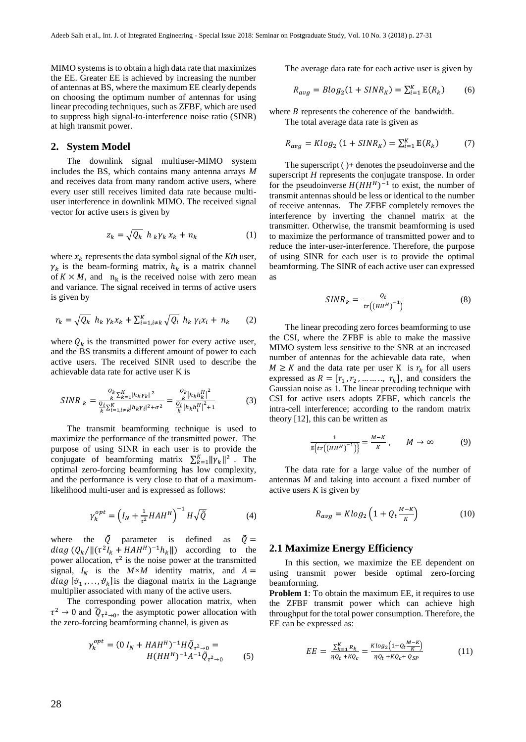MIMO systems is to obtain a high data rate that maximizes the EE. Greater EE is achieved by increasing the number of antennas at BS, where the maximum EE clearly depends on choosing the optimum number of antennas for using linear precoding techniques, such as ZFBF, which are used to suppress high signal-to-interference noise ratio (SINR) at high transmit power.

# **2. System Model**

The downlink signal multiuser-MIMO system includes the BS, which contains many antenna arrays *M* and receives data from many random active users, where every user still receives limited data rate because multiuser interference in downlink MIMO. The received signal vector for active users is given by

$$
z_k = \sqrt{Q_k} \ h_k \gamma_k \ x_k + n_k \tag{1}
$$

where  $x_k$  represents the data symbol signal of the *Kth* user,  $\gamma_k$  is the beam-forming matrix,  $h_k$  is a matrix channel of  $K \times M$ , and  $n_k$  is the received noise with zero mean and variance. The signal received in terms of active users is given by

$$
r_k = \sqrt{Q_k} \ h_k \gamma_k x_k + \sum_{i=1, i \neq k}^K \sqrt{Q_i} \ h_k \gamma_i x_i + n_k \qquad (2)
$$

where  $Q_k$  is the transmitted power for every active user, and the BS transmits a different amount of power to each active users. The received SINR used to describe the achievable data rate for active user K is

$$
SINR_{k} = \frac{\frac{Q_{k}}{k} \sum_{k=1}^{K} |h_{k}\gamma_{k}|^{2}}{\frac{Q_{i}}{k} \sum_{k=1, i \neq k}^{K} |h_{k}\gamma_{i}|^{2} + \sigma^{2}} = \frac{\frac{Q_{k}}{k} |h_{k}h_{k}^{H}|^{2}}{\frac{Q_{i}}{k} |h_{k}h_{i}^{H}|^{2} + 1}
$$
(3)

The transmit beamforming technique is used to maximize the performance of the transmitted power. The purpose of using SINR in each user is to provide the conjugate of beamforming matrix  $\sum_{k=1}^{K} ||\gamma_k||^2$ . The optimal zero-forcing beamforming has low complexity, and the performance is very close to that of a maximumlikelihood multi-user and is expressed as follows:

$$
\gamma_k^{opt} = \left(I_N + \frac{1}{\tau^2} H A H^H\right)^{-1} H \sqrt{\tilde{Q}} \tag{4}
$$

where the  $\tilde{Q}$  parameter is defined as  $\tilde{Q} =$ diag  $(Q_k / ||(\tau^2 I_k + H A H^H)^{-1} h_k||)$  according to the power allocation,  $\tau^2$  is the noise power at the transmitted signal,  $I_N$  is the  $M \times M$  identity matrix, and  $A =$ diag  $[\theta_1, ..., \theta_k]$  is the diagonal matrix in the Lagrange multiplier associated with many of the active users.

The corresponding power allocation matrix, when  $\tau^2 \rightarrow 0$  and  $\tilde{Q}_{\tau^2 \rightarrow 0}$ , the asymptotic power allocation with the zero-forcing beamforming channel, is given as

$$
\gamma_k^{opt} = (0 I_N + H A H^H)^{-1} H \tilde{Q}_{\tau^2 \to 0} =
$$
  
 
$$
H (H H^H)^{-1} A^{-1} \tilde{Q}_{\tau^2 \to 0}
$$
 (5)

The average data rate for each active user is given by

$$
R_{avg} = Blog_2(1 + SINR_K) = \sum_{i=1}^{K} \mathbb{E}(R_k)
$$
 (6)

where  $B$  represents the coherence of the bandwidth. The total average data rate is given as

$$
R_{avg} = Klog_2(1 + SINR_K) = \sum_{i=1}^{K} \mathbb{E}(R_k)
$$
 (7)

The superscript ( )+ denotes the pseudoinverse and the superscript *H* represents the conjugate transpose. In order for the pseudoinverse  $H(HH^H)^{-1}$  to exist, the number of transmit antennas should be less or identical to the number of receive antennas. The ZFBF completely removes the interference by inverting the channel matrix at the transmitter. Otherwise, the transmit beamforming is used to maximize the performance of transmitted power and to reduce the inter-user-interference. Therefore, the purpose of using SINR for each user is to provide the optimal beamforming. The SINR of each active user can expressed as

$$
SINR_k = \frac{Q_t}{tr((HH^H)^{-1})}
$$
 (8)

The linear precoding zero forces beamforming to use the CSI, where the ZFBF is able to make the massive MIMO system less sensitive to the SNR at an increased number of antennas for the achievable data rate, when  $M \geq K$  and the data rate per user K is  $r_k$  for all users expressed as  $R = [r_1, r_2, \dots, r_k]$ , and considers the Gaussian noise as 1. The linear precoding technique with CSI for active users adopts ZFBF, which cancels the intra-cell interference; according to the random matrix theory [12], this can be written as

$$
\frac{1}{\mathbb{E}\left\{tr\left(\left(HH^H\right)^{-1}\right)\right\}} = \frac{M - K}{K}, \qquad M \to \infty \tag{9}
$$

The data rate for a large value of the number of antennas *M* and taking into account a fixed number of active users  $K$  is given by

$$
R_{avg} = K \log_2 \left( 1 + Q_t \frac{M - K}{K} \right) \tag{10}
$$

#### **2.1 Maximize Energy Efficiency**

In this section, we maximize the EE dependent on using transmit power beside optimal zero-forcing beamforming.

**Problem 1**: To obtain the maximum EE, it requires to use the ZFBF transmit power which can achieve high throughput for the total power consumption. Therefore, the EE can be expressed as:

$$
EE = \frac{\sum_{k=1}^{K} R_k}{\eta Q_t + KQ_c} = \frac{K \log_2 \left(1 + Q_t \frac{M - K}{K}\right)}{\eta Q_t + KQ_c + Q_{SP}}
$$
(11)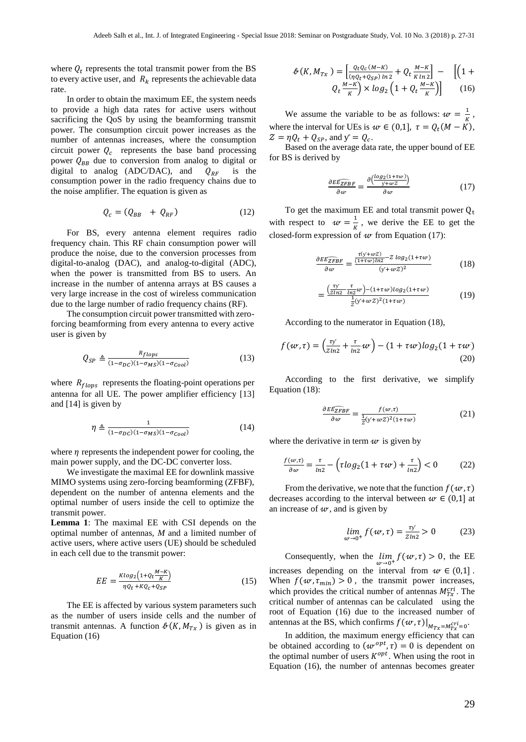where  $Q_t$  represents the total transmit power from the BS to every active user, and  $R_k$  represents the achievable data rate.

In order to obtain the maximum EE, the system needs to provide a high data rates for active users without sacrificing the QoS by using the beamforming transmit power. The consumption circuit power increases as the number of antennas increases, where the consumption circuit power  $Q_c$  represents the base band processing power  $Q_{BB}$  due to conversion from analog to digital or digital to analog (ADC/DAC), and  $Q_{RF}$  is the consumption power in the radio frequency chains due to the noise amplifier. The equation is given as

$$
Q_c = (Q_{BB} + Q_{RF}) \tag{12}
$$

For BS, every antenna element requires radio frequency chain. This RF chain consumption power will produce the noise, due to the conversion processes from digital-to-analog (DAC), and analog-to-digital (ADC), when the power is transmitted from BS to users. An increase in the number of antenna arrays at BS causes a very large increase in the cost of wireless communication due to the large number of radio frequency chains (RF).

The consumption circuit power transmitted with zeroforcing beamforming from every antenna to every active user is given by

$$
Q_{SP} \triangleq \frac{R_{flops}}{(1 - \sigma_{DC})(1 - \sigma_{MS})(1 - \sigma_{cool})}
$$
(13)

where  $R_{flops}$  represents the floating-point operations per antenna for all UE. The power amplifier efficiency [13] and [14] is given by

$$
\eta \triangleq \frac{1}{(1 - \sigma_{DC})(1 - \sigma_{MS})(1 - \sigma_{Cool})}
$$
(14)

where  $\eta$  represents the independent power for cooling, the main power supply, and the DC-DC converter loss.

We investigate the maximal EE for downlink massive MIMO systems using zero-forcing beamforming (ZFBF), dependent on the number of antenna elements and the optimal number of users inside the cell to optimize the transmit power.

**Lemma 1**: The maximal EE with CSI depends on the optimal number of antennas, *M* and a limited number of active users, where active users (UE) should be scheduled in each cell due to the transmit power:

$$
EE = \frac{K \log_2 \left(1 + Q_t \frac{M - K}{K}\right)}{\eta Q_t + K Q_c + Q_{SP}}
$$
(15)

The EE is affected by various system parameters such as the number of users inside cells and the number of transmit antennas. A function  $\mathcal{L}(K, M_{Tx})$  is given as in Equation (16)

$$
\mathcal{B}(K, M_{Tx}) = \left[\frac{Q_t Q_c (M - K)}{(\eta Q_t + Q_{SP}) \ln 2} + Q_t \frac{M - K}{K \ln 2}\right] - \left[ \left(1 + Q_t \frac{M - K}{K}\right) \times \log_2 \left(1 + Q_t \frac{M - K}{K}\right) \right] \tag{16}
$$

We assume the variable to be as follows:  $w = \frac{1}{u}$  $\frac{1}{K}$ , where the interval for UEs is  $\omega \in (0,1]$ ,  $\tau = Q_t(M - K)$ ,  $Z = \eta Q_t + Q_{SP}$ , and  $y = Q_c$ .

Based on the average data rate, the upper bound of EE for BS is derived by

$$
\frac{\partial E\widehat{EZFBF}}{\partial w} = \frac{\partial \left(\frac{\log_2(1+t w)}{y + w Z}\right)}{\partial w} \tag{17}
$$

To get the maximum EE and total transmit power  $Q_t$ with respect to  $w = \frac{1}{v}$  $\frac{1}{K}$ , we derive the EE to get the closed-form expression of  $w$  from Equation (17):

$$
\frac{\partial E\widehat{E_{ZFBF}}}{\partial w} = \frac{\frac{\tau(y + wZ)}{(1 + \tau w)\ln 2} - Z \log_2(1 + \tau w)}{(y + wZ)^2}
$$
(18)

$$
=\frac{\left(\frac{\tau y}{Zln2} - \frac{\tau}{ln2}w\right) - (1+\tau w)log_2(1+\tau w)}{\frac{1}{Z}(y+\omega Z)^2(1+\tau w)}\tag{19}
$$

According to the numerator in Equation (18),

=

$$
f(w,\tau) = \left(\frac{\tau y}{z\ln 2} + \frac{\tau}{\ln 2}w\right) - (1 + \tau w)\log_2(1 + \tau w)
$$
\n(20)

According to the first derivative, we simplify Equation (18):

$$
\frac{\partial E\widehat{E_{ZFBF}}}{\partial w} = \frac{f(w,\tau)}{\frac{1}{Z}(y+wZ)^2(1+\tau w)}
$$
(21)

where the derivative in term  $w$  is given by

$$
\frac{f(w,\tau)}{\partial w} = \frac{\tau}{\ln 2} - \left(\tau \log_2(1 + \tau w) + \frac{\tau}{\ln 2}\right) < 0 \tag{22}
$$

From the derivative, we note that the function  $f(w, \tau)$ decreases according to the interval between  $w \in (0,1]$  at an increase of  $w$ , and is given by

$$
\lim_{w \to 0^+} f(w, \tau) = \frac{\tau y}{Z \ln 2} > 0 \tag{23}
$$

Consequently, when the  $\lim_{w \to 0^+} f(w, \tau) > 0$ , the EE increases depending on the interval from  $w \in (0,1]$ . When  $f(w, \tau_{min}) > 0$ , the transmit power increases, which provides the critical number of antennas  $M_{Tx}^{cri}$ . The critical number of antennas can be calculated using the root of Equation (16) due to the increased number of antennas at the BS, which confirms  $f(w, \tau)|_{M_{Tx} = M_{Tx}^{cri} = 0}$ .

In addition, the maximum energy efficiency that can be obtained according to  $(w^{opt}, \tau) = 0$  is dependent on the optimal number of users  $K^{opt}$ . When using the root in Equation (16), the number of antennas becomes greater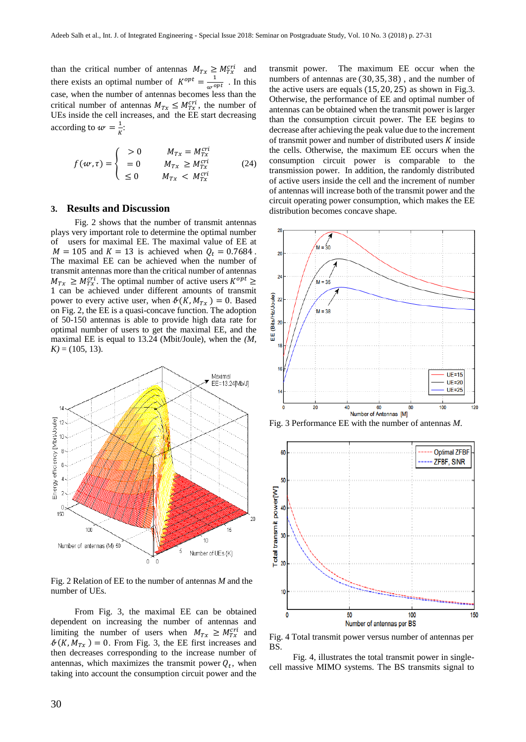than the critical number of antennas  $M_{Tx} \ge M_{Tx}^{cri}$  and there exists an optimal number of  $K^{opt} = \frac{1}{w^{opt}}$ . In this case, when the number of antennas becomes less than the critical number of antennas  $M_{Tx} \leq M_{Tx}^{cri}$ , the number of UEs inside the cell increases, and the EE start decreasing according to  $w = \frac{1}{\mu}$  $\frac{1}{K}$ :

$$
f(w,\tau) = \begin{cases} > 0 & M_{Tx} = M_{Tx}^{cri} \\ & = 0 & M_{Tx} \ge M_{Tx}^{cri} \\ & \le 0 & M_{Tx} < M_{Tx}^{cri} \end{cases} \tag{24}
$$

# **3. Results and Discussion**

Fig. 2 shows that the number of transmit antennas plays very important role to determine the optimal number of users for maximal EE. The maximal value of EE at  $M = 105$  and  $K = 13$  is achieved when  $Q_t = 0.7684$ . The maximal EE can be achieved when the number of transmit antennas more than the critical number of antennas  $M_{Tx} \geq M_{Tx}^{cri}$ . The optimal number of active users  $K^{opt} \geq$ 1 can be achieved under different amounts of transmit power to every active user, when  $\mathcal{B}(K, M_{Tx}) = 0$ . Based on Fig. 2, the EE is a quasi-concave function. The adoption of 50-150 antennas is able to provide high data rate for optimal number of users to get the maximal EE, and the maximal EE is equal to 13.24 (Mbit/Joule), when the *(M,*   $K$ ) = (105, 13).



Fig. 2 Relation of EE to the number of antennas *M* and the number of UEs.

From Fig. 3, the maximal EE can be obtained dependent on increasing the number of antennas and limiting the number of users when  $M_{Tx} \geq M_{Tx}^{cri}$  and  $\mathcal{N}(K, M_{Tx}) = 0$ . From Fig. 3, the EE first increases and then decreases corresponding to the increase number of antennas, which maximizes the transmit power  $Q_t$ , when taking into account the consumption circuit power and the

transmit power. The maximum EE occur when the numbers of antennas are (30, 35, 38) , and the number of the active users are equals (15, 20, 25) as shown in Fig.3. Otherwise, the performance of EE and optimal number of antennas can be obtained when the transmit power is larger than the consumption circuit power. The EE begins to decrease after achieving the peak value due to the increment of transmit power and number of distributed users  $K$  inside the cells. Otherwise, the maximum EE occurs when the consumption circuit power is comparable to the transmission power. In addition, the randomly distributed of active users inside the cell and the increment of number of antennas will increase both of the transmit power and the circuit operating power consumption, which makes the EE distribution becomes concave shape.







Fig. 4 Total transmit power versus number of antennas per BS.

Fig. 4, illustrates the total transmit power in singlecell massive MIMO systems. The BS transmits signal to